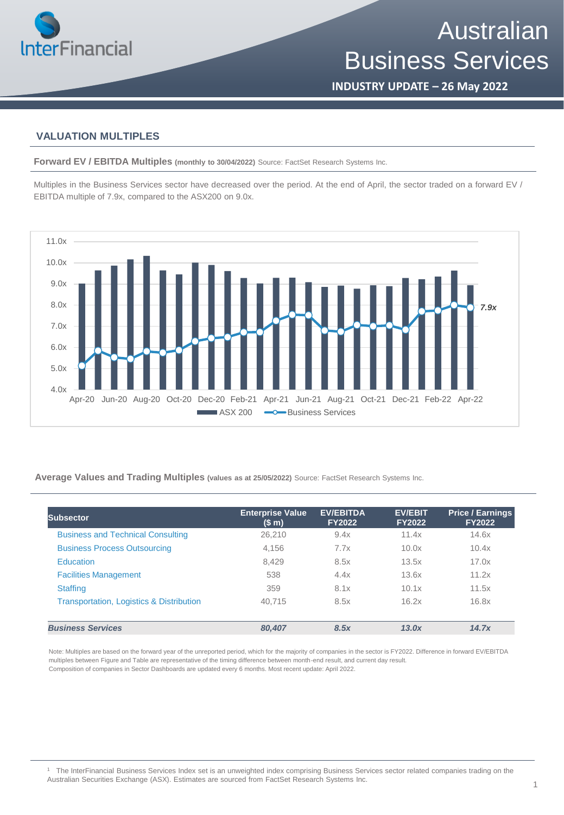

**INDUSTRY UPDATE – 26 May 2022**

## **VALUATION MULTIPLES**

**Forward EV / EBITDA Multiples (monthly to 30/04/2022)** Source: FactSet Research Systems Inc.

Multiples in the Business Services sector have decreased over the period. At the end of April, the sector traded on a forward EV / EBITDA multiple of 7.9x, compared to the ASX200 on 9.0x.



**Average Values and Trading Multiples (values as at 25/05/2022)** Source: FactSet Research Systems Inc.

| Subsector                                           | <b>Enterprise Value</b><br>(S <sub>m</sub> ) | <b>EV/EBITDA</b><br><b>FY2022</b> | <b>EV/EBIT</b><br><b>FY2022</b> | <b>Price / Earnings</b><br><b>FY2022</b> |
|-----------------------------------------------------|----------------------------------------------|-----------------------------------|---------------------------------|------------------------------------------|
| <b>Business and Technical Consulting</b>            | 26,210                                       | 9.4x                              | 11.4x                           | 14.6x                                    |
| <b>Business Process Outsourcing</b>                 | 4.156                                        | 7.7x                              | 10.0x                           | 10.4x                                    |
| <b>Education</b>                                    | 8.429                                        | 8.5x                              | 13.5x                           | 17.0x                                    |
| <b>Facilities Management</b>                        | 538                                          | 4.4x                              | 13.6x                           | 11.2x                                    |
| <b>Staffing</b>                                     | 359                                          | 8.1x                              | 10.1x                           | 11.5x                                    |
| <b>Transportation, Logistics &amp; Distribution</b> | 40.715                                       | 8.5x                              | 16.2x                           | 16.8x                                    |
| <b>Business Services</b>                            | 80,407                                       | 8.5x                              | 13.0x                           | 14.7x                                    |

Note: Multiples are based on the forward year of the unreported period, which for the majority of companies in the sector is FY2022. Difference in forward EV/EBITDA multiples between Figure and Table are representative of the timing difference between month-end result, and current day result. Composition of companies in Sector Dashboards are updated every 6 months. Most recent update: April 2022.

<sup>1</sup> The InterFinancial Business Services Index set is an unweighted index comprising Business Services sector related companies trading on the Australian Securities Exchange (ASX). Estimates are sourced from FactSet Research Systems Inc.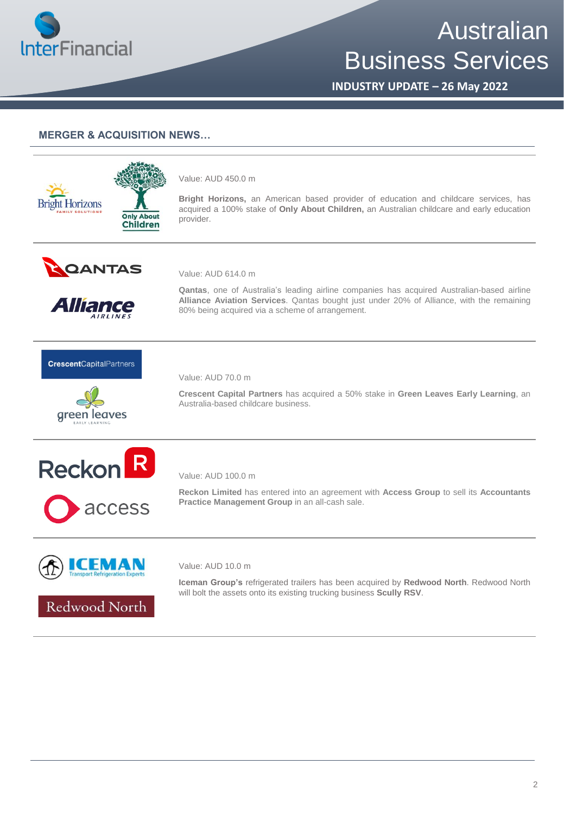

# Australian Business Services

**INDUSTRY UPDATE – 26 May 2022**

# **MERGER & ACQUISITION NEWS…**

**Only About Children** 

#### Value: AUD 450.0 m

**Bright Horizons,** an American based provider of education and childcare services, has acquired a 100% stake of **Only About Children,** an Australian childcare and early education provider.



**Bright Horizons** 



Value: AUD 614.0 m

**Qantas**, one of Australia's leading airline companies has acquired Australian-based airline **Alliance Aviation Services**. Qantas bought just under 20% of Alliance, with the remaining 80% being acquired via a scheme of arrangement.

### **CrescentCapitalPartners**





access

Value: AUD 70.0 m

**Crescent Capital Partners** has acquired a 50% stake in **Green Leaves Early Learning**, an Australia-based childcare business.



**Reckon Limited** has entered into an agreement with **Access Group** to sell its **Accountants Practice Management Group** in an all-cash sale.



Value: AUD 10.0 m

**Iceman Group's** refrigerated trailers has been acquired by **Redwood North**. Redwood North will bolt the assets onto its existing trucking business **Scully RSV**.

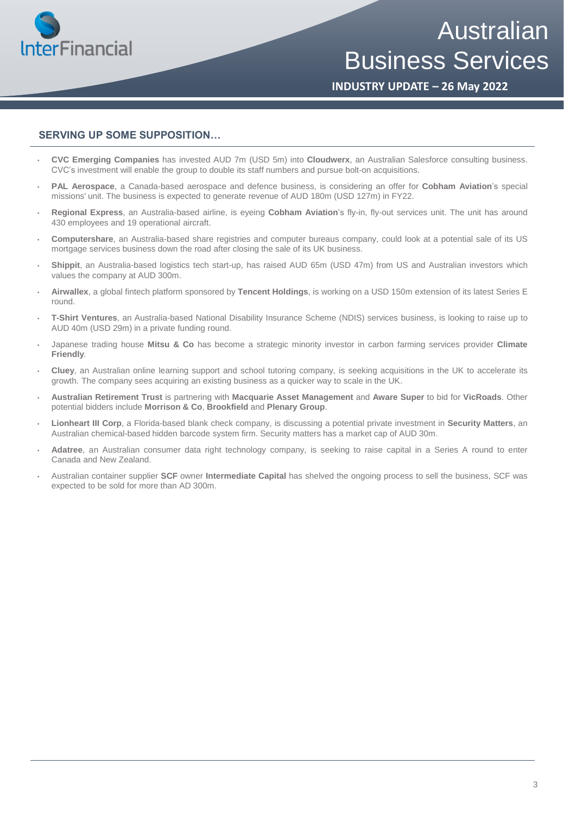

Australian Business Services

**INDUSTRY UPDATE – 26 May 2022**

# **SERVING UP SOME SUPPOSITION…**

- **CVC Emerging Companies** has invested AUD 7m (USD 5m) into **Cloudwerx**, an Australian Salesforce consulting business. CVC's investment will enable the group to double its staff numbers and pursue bolt-on acquisitions.
- **PAL Aerospace**, a Canada-based aerospace and defence business, is considering an offer for **Cobham Aviation**'s special missions' unit. The business is expected to generate revenue of AUD 180m (USD 127m) in FY22.
- **Regional Express**, an Australia-based airline, is eyeing **Cobham Aviation**'s fly-in, fly-out services unit. The unit has around 430 employees and 19 operational aircraft.
- **Computershare**, an Australia-based share registries and computer bureaus company, could look at a potential sale of its US mortgage services business down the road after closing the sale of its UK business.
- **Shippit**, an Australia-based logistics tech start-up, has raised AUD 65m (USD 47m) from US and Australian investors which values the company at AUD 300m.
- **Airwallex**, a global fintech platform sponsored by **Tencent Holdings**, is working on a USD 150m extension of its latest Series E round.
- **T-Shirt Ventures**, an Australia-based National Disability Insurance Scheme (NDIS) services business, is looking to raise up to AUD 40m (USD 29m) in a private funding round.
- Japanese trading house **Mitsu & Co** has become a strategic minority investor in carbon farming services provider **Climate Friendly**.
- **Cluey**, an Australian online learning support and school tutoring company, is seeking acquisitions in the UK to accelerate its growth. The company sees acquiring an existing business as a quicker way to scale in the UK.
- **Australian Retirement Trust** is partnering with **Macquarie Asset Management** and **Aware Super** to bid for **VicRoads**. Other potential bidders include **Morrison & Co**, **Brookfield** and **Plenary Group**.
- **Lionheart III Corp**, a Florida-based blank check company, is discussing a potential private investment in **Security Matters**, an Australian chemical-based hidden barcode system firm. Security matters has a market cap of AUD 30m.
- **Adatree**, an Australian consumer data right technology company, is seeking to raise capital in a Series A round to enter Canada and New Zealand.
- Australian container supplier **SCF** owner **Intermediate Capital** has shelved the ongoing process to sell the business, SCF was expected to be sold for more than AD 300m.